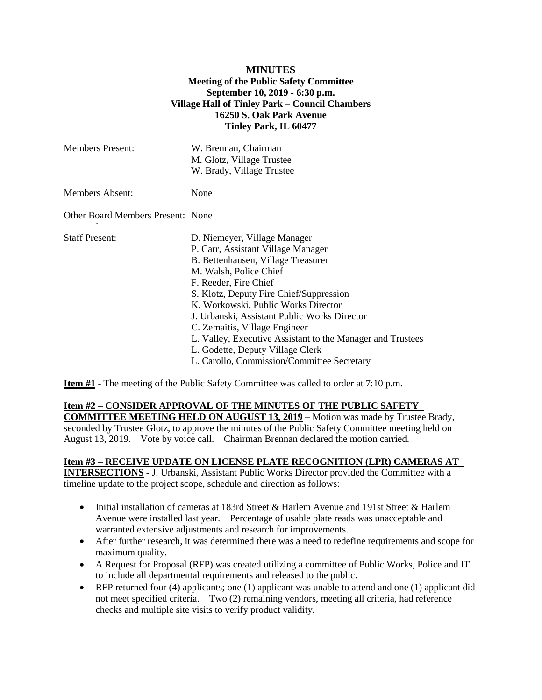## **MINUTES Meeting of the Public Safety Committee September 10, 2019 - 6:30 p.m. Village Hall of Tinley Park – Council Chambers 16250 S. Oak Park Avenue Tinley Park, IL 60477**

| <b>Members Present:</b>           | W. Brennan, Chairman<br>M. Glotz, Village Trustee<br>W. Brady, Village Trustee                                                                                                                                                                                                                                                                                                                                                                                                 |
|-----------------------------------|--------------------------------------------------------------------------------------------------------------------------------------------------------------------------------------------------------------------------------------------------------------------------------------------------------------------------------------------------------------------------------------------------------------------------------------------------------------------------------|
| Members Absent:                   | None                                                                                                                                                                                                                                                                                                                                                                                                                                                                           |
| Other Board Members Present: None |                                                                                                                                                                                                                                                                                                                                                                                                                                                                                |
| <b>Staff Present:</b>             | D. Niemeyer, Village Manager<br>P. Carr, Assistant Village Manager<br>B. Bettenhausen, Village Treasurer<br>M. Walsh, Police Chief<br>F. Reeder, Fire Chief<br>S. Klotz, Deputy Fire Chief/Suppression<br>K. Workowski, Public Works Director<br>J. Urbanski, Assistant Public Works Director<br>C. Zemaitis, Village Engineer<br>L. Valley, Executive Assistant to the Manager and Trustees<br>L. Godette, Deputy Village Clerk<br>L. Carollo, Commission/Committee Secretary |

**Item #1** - The meeting of the Public Safety Committee was called to order at 7:10 p.m.

## **Item #2 – CONSIDER APPROVAL OF THE MINUTES OF THE PUBLIC SAFETY**

**COMMITTEE MEETING HELD ON AUGUST 13, 2019 –** Motion was made by Trustee Brady, seconded by Trustee Glotz, to approve the minutes of the Public Safety Committee meeting held on August 13, 2019. Vote by voice call. Chairman Brennan declared the motion carried.

## **Item #3 – RECEIVE UPDATE ON LICENSE PLATE RECOGNITION (LPR) CAMERAS AT**

**INTERSECTIONS -** J. Urbanski, Assistant Public Works Director provided the Committee with a timeline update to the project scope, schedule and direction as follows:

- Initial installation of cameras at 183rd Street & Harlem Avenue and 191st Street & Harlem Avenue were installed last year. Percentage of usable plate reads was unacceptable and warranted extensive adjustments and research for improvements.
- After further research, it was determined there was a need to redefine requirements and scope for maximum quality.
- A Request for Proposal (RFP) was created utilizing a committee of Public Works, Police and IT to include all departmental requirements and released to the public.
- RFP returned four (4) applicants; one (1) applicant was unable to attend and one (1) applicant did not meet specified criteria. Two (2) remaining vendors, meeting all criteria, had reference checks and multiple site visits to verify product validity.